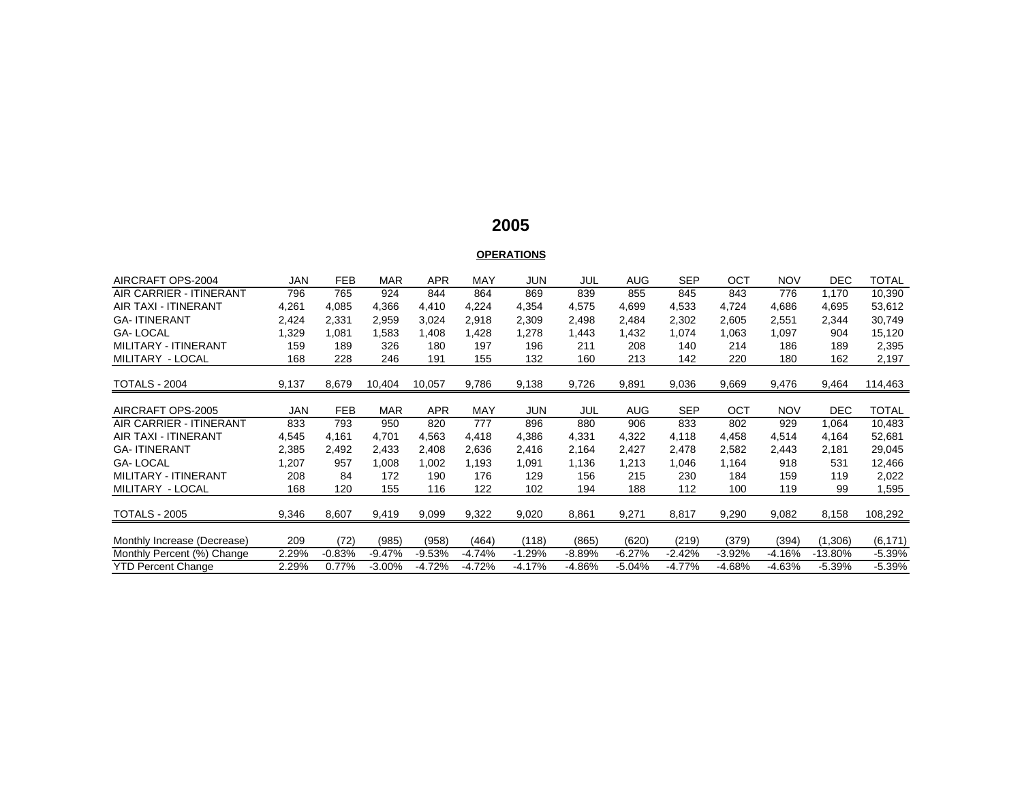## **2005**

# **OPERATIONS**

| AIRCRAFT OPS-2004              | JAN        | <b>FEB</b> | <b>MAR</b> | <b>APR</b> | MAY      | <b>JUN</b> | JUL      | AUG      | <b>SEP</b> | OCT      | <b>NOV</b> | <b>DEC</b> | TOTAL        |
|--------------------------------|------------|------------|------------|------------|----------|------------|----------|----------|------------|----------|------------|------------|--------------|
| <b>AIR CARRIER - ITINERANT</b> | 796        | 765        | 924        | 844        | 864      | 869        | 839      | 855      | 845        | 843      | 776        | 1,170      | 10,390       |
| <b>AIR TAXI - ITINERANT</b>    | 4,261      | 4,085      | 4,366      | 4,410      | 4,224    | 4,354      | 4,575    | 4,699    | 4,533      | 4,724    | 4,686      | 4,695      | 53,612       |
| <b>GA-ITINERANT</b>            | 2,424      | 2,331      | 2,959      | 3,024      | 2,918    | 2,309      | 2,498    | 2,484    | 2,302      | 2,605    | 2,551      | 2,344      | 30,749       |
| <b>GA-LOCAL</b>                | ,329       | 1,081      | 1,583      | 1,408      | 428. ا   | 1,278      | 1,443    | 1,432    | 1,074      | 1,063    | 1,097      | 904        | 15,120       |
| MILITARY - ITINERANT           | 159        | 189        | 326        | 180        | 197      | 196        | 211      | 208      | 140        | 214      | 186        | 189        | 2,395        |
| MILITARY - LOCAL               | 168        | 228        | 246        | 191        | 155      | 132        | 160      | 213      | 142        | 220      | 180        | 162        | 2,197        |
|                                |            |            |            |            |          |            |          |          |            |          |            |            |              |
| TOTALS - 2004                  | 9,137      | 8,679      | 10,404     | 10,057     | 9,786    | 9,138      | 9,726    | 9,891    | 9,036      | 9,669    | 9,476      | 9,464      | 114,463      |
|                                |            |            |            |            |          |            |          |          |            |          |            |            |              |
| AIRCRAFT OPS-2005              | <b>JAN</b> | <b>FEB</b> | <b>MAR</b> | <b>APR</b> | MAY      | <b>JUN</b> | JUL      | AUG      | <b>SEP</b> | OCT      | <b>NOV</b> | <b>DEC</b> | <b>TOTAL</b> |
| AIR CARRIER - ITINERANT        | 833        | 793        | 950        | 820        | 777      | 896        | 880      | 906      | 833        | 802      | 929        | 1,064      | 10,483       |
| <b>AIR TAXI - ITINERANT</b>    | 4,545      | 4.161      | 4.701      | 4,563      | 4,418    | 4,386      | 4,331    | 4,322    | 4,118      | 4,458    | 4,514      | 4,164      | 52,681       |
| <b>GA-ITINERANT</b>            | 2,385      | 2,492      | 2,433      | 2,408      | 2,636    | 2,416      | 2,164    | 2,427    | 2,478      | 2,582    | 2,443      | 2,181      | 29,045       |
| <b>GA-LOCAL</b>                | 1,207      | 957        | 1,008      | 1,002      | 1,193    | 1,091      | 1,136    | 1,213    | 1,046      | 1,164    | 918        | 531        | 12,466       |
| MILITARY - ITINERANT           | 208        | 84         | 172        | 190        | 176      | 129        | 156      | 215      | 230        | 184      | 159        | 119        | 2,022        |
| MILITARY - LOCAL               | 168        | 120        | 155        | 116        | 122      | 102        | 194      | 188      | 112        | 100      | 119        | 99         | 1,595        |
|                                |            |            |            |            |          |            |          |          |            |          |            |            |              |
| <b>TOTALS - 2005</b>           | 9,346      | 8,607      | 9,419      | 9,099      | 9,322    | 9,020      | 8,861    | 9,271    | 8,817      | 9,290    | 9,082      | 8,158      | 108,292      |
|                                |            |            |            |            |          |            |          |          |            |          |            |            |              |
| Monthly Increase (Decrease)    | 209        | (72)       | (985)      | (958)      | (464)    | (118)      | (865)    | (620)    | (219)      | (379)    | (394)      | (1,306)    | (6, 171)     |
| Monthly Percent (%) Change     | 2.29%      | $-0.83%$   | $-9.47%$   | $-9.53%$   | $-4.74%$ | $-1.29%$   | $-8.89%$ | $-6.27%$ | $-2.42%$   | $-3.92%$ | $-4.16%$   | $-13.80\%$ | $-5.39%$     |
| <b>YTD Percent Change</b>      | 2.29%      | 0.77%      | $-3.00\%$  | $-4.72%$   | $-4.72%$ | $-4.17%$   | -4.86%   | $-5.04%$ | $-4.77%$   | $-4.68%$ | $-4.63%$   | $-5.39%$   | $-5.39%$     |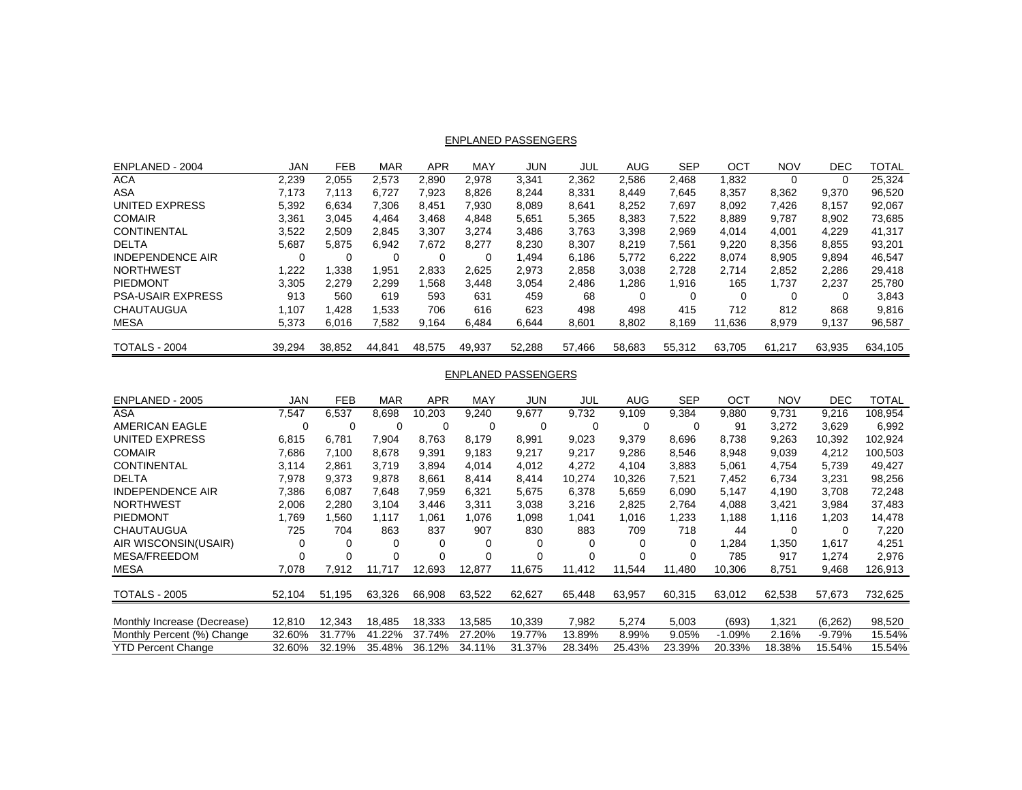#### ENPLANED PASSENGERS

| ENPLANED - 2004          | JAN    | <b>FEB</b> | <b>MAR</b> | APR    | MAY    | JUN    | JUL    | AUG    | <b>SEP</b> | OCT      | <b>NOV</b> | DEC    | TOTAL   |
|--------------------------|--------|------------|------------|--------|--------|--------|--------|--------|------------|----------|------------|--------|---------|
| ACA                      | 2,239  | 2,055      | 2,573      | 2,890  | 2,978  | 3,341  | 2,362  | 2,586  | 2,468      | 1,832    | 0          |        | 25,324  |
| ASA                      | 7.173  | 7.113      | 6,727      | 7,923  | 8,826  | 8,244  | 8,331  | 8,449  | 7,645      | 8,357    | 8,362      | 9,370  | 96,520  |
| UNITED EXPRESS           | 5,392  | 6,634      | 7.306      | 8.451  | 7.930  | 8,089  | 8.641  | 8,252  | 7,697      | 8,092    | 7,426      | 8,157  | 92,067  |
| <b>COMAIR</b>            | 3,361  | 3.045      | 4.464      | 3.468  | 4,848  | 5,651  | 5,365  | 8,383  | 7,522      | 8,889    | 9.787      | 8,902  | 73,685  |
| <b>CONTINENTAL</b>       | 3,522  | 2,509      | 2,845      | 3,307  | 3,274  | 3,486  | 3,763  | 3,398  | 2,969      | 4,014    | 4,001      | 4,229  | 41,317  |
| <b>DELTA</b>             | 5,687  | 5,875      | 6,942      | 7.672  | 8.277  | 8,230  | 8,307  | 8,219  | 7,561      | 9,220    | 8,356      | 8,855  | 93,201  |
| <b>INDEPENDENCE AIR</b>  |        | 0          | 0          |        |        | ,494   | 6.186  | 5.772  | 6,222      | 8.074    | 8.905      | 9.894  | 46,547  |
| <b>NORTHWEST</b>         | 1,222  | 1,338      | 1,951      | 2.833  | 2,625  | 2.973  | 2,858  | 3,038  | 2,728      | 2,714    | 2,852      | 2,286  | 29,418  |
| PIEDMONT                 | 3,305  | 2.279      | 2.299      | 1,568  | 3.448  | 3,054  | 2.486  | .286   | 1.916      | 165      | 1.737      | 2,237  | 25,780  |
| <b>PSA-USAIR EXPRESS</b> | 913    | 560        | 619        | 593    | 631    | 459    | 68     |        | 0          | $\Omega$ | 0          |        | 3,843   |
| CHAUTAUGUA               | 1.107  | 1.428      | .533       | 706    | 616    | 623    | 498    | 498    | 415        | 712      | 812        | 868    | 9,816   |
| MESA                     | 5,373  | 6,016      | 7,582      | 9,164  | 6,484  | 6,644  | 8,601  | 8,802  | 8.169      | 11,636   | 8,979      | 9,137  | 96,587  |
| <b>TOTALS - 2004</b>     | 39,294 | 38,852     | 44,841     | 48,575 | 49.937 | 52,288 | 57.466 | 58,683 | 55,312     | 63.705   | 61.217     | 63,935 | 634.105 |

#### ENPLANED PASSENGERS

| ENPLANED - 2005             | JAN      | <b>FEB</b> | <b>MAR</b> | APR    | MAY    | JUN    | JUL      | AUG    | <b>SEP</b> | OCT      | <b>NOV</b> | <b>DEC</b> | TOTAL   |
|-----------------------------|----------|------------|------------|--------|--------|--------|----------|--------|------------|----------|------------|------------|---------|
| ASA                         | 7,547    | 6,537      | 8,698      | 10.203 | 9,240  | 9.677  | 9.732    | 9.109  | 9,384      | 9,880    | 9,731      | 9.216      | 108,954 |
| <b>AMERICAN EAGLE</b>       |          | 0          |            | 0      | 0      | 0      | 0        | 0      | 0          | 91       | 3,272      | 3,629      | 6,992   |
| UNITED EXPRESS              | 6,815    | 6.781      | 7,904      | 8.763  | 8,179  | 8,991  | 9,023    | 9,379  | 8,696      | 8,738    | 9,263      | 10,392     | 102,924 |
| <b>COMAIR</b>               | 7,686    | 7.100      | 8.678      | 9,391  | 9,183  | 9,217  | 9,217    | 9,286  | 8,546      | 8,948    | 9,039      | 4,212      | 100,503 |
| CONTINENTAL                 | 3,114    | 2.861      | 3.719      | 3.894  | 4.014  | 4.012  | 4.272    | 4.104  | 3,883      | 5.061    | 4.754      | 5.739      | 49.427  |
| <b>DELTA</b>                | 7,978    | 9,373      | 9,878      | 8,661  | 8.414  | 8,414  | 10,274   | 10,326 | 7,521      | 7,452    | 6,734      | 3,231      | 98,256  |
| <b>INDEPENDENCE AIR</b>     | 7,386    | 6,087      | 7,648      | 7.959  | 6,321  | 5,675  | 6,378    | 5,659  | 6,090      | 5,147    | 4,190      | 3,708      | 72,248  |
| <b>NORTHWEST</b>            | 2,006    | 2,280      | 3,104      | 3,446  | 3,311  | 3,038  | 3,216    | 2,825  | 2,764      | 4,088    | 3,421      | 3,984      | 37,483  |
| <b>PIEDMONT</b>             | 1,769    | .560       | 1.117      | 1.061  | 1.076  | 1,098  | 1,041    | 1,016  | 1,233      | 1,188    | 1.116      | 1,203      | 14,478  |
| CHAUTAUGUA                  | 725      | 704        | 863        | 837    | 907    | 830    | 883      | 709    | 718        | 44       | $\Omega$   | $\Omega$   | 7,220   |
| AIR WISCONSIN(USAIR)        | $\Omega$ | 0          | $\Omega$   |        | 0      |        | 0        | 0      | 0          | ,284     | 1,350      | 1,617      | 4,251   |
| <b>MESA/FREEDOM</b>         |          |            | $\Omega$   |        |        | O      | $\Omega$ | 0      | 0          | 785      | 917        | 1,274      | 2,976   |
| <b>MESA</b>                 | 7,078    | 7,912      | 11,717     | 12.693 | 12,877 | 11,675 | 11.412   | 11.544 | 11.480     | 10,306   | 8,751      | 9,468      | 126,913 |
|                             |          |            |            |        |        |        |          |        |            |          |            |            |         |
| <b>TOTALS - 2005</b>        | 52,104   | 51.195     | 63,326     | 66,908 | 63,522 | 62,627 | 65,448   | 63,957 | 60,315     | 63,012   | 62,538     | 57,673     | 732,625 |
|                             |          |            |            |        |        |        |          |        |            |          |            |            |         |
| Monthly Increase (Decrease) | 12,810   | 12,343     | 18.485     | 18.333 | 13.585 | 10,339 | 7.982    | 5,274  | 5,003      | (693)    | 1,321      | (6, 262)   | 98,520  |
| Monthly Percent (%) Change  | 32.60%   | 31.77%     | 41.22%     | 37.74% | 27.20% | 19.77% | 13.89%   | 8.99%  | 9.05%      | $-1.09%$ | 2.16%      | $-9.79%$   | 15.54%  |
| <b>YTD Percent Change</b>   | 32.60%   | 32.19%     | 35.48%     | 36.12% | 34.11% | 31.37% | 28.34%   | 25.43% | 23.39%     | 20.33%   | 18.38%     | 15.54%     | 15.54%  |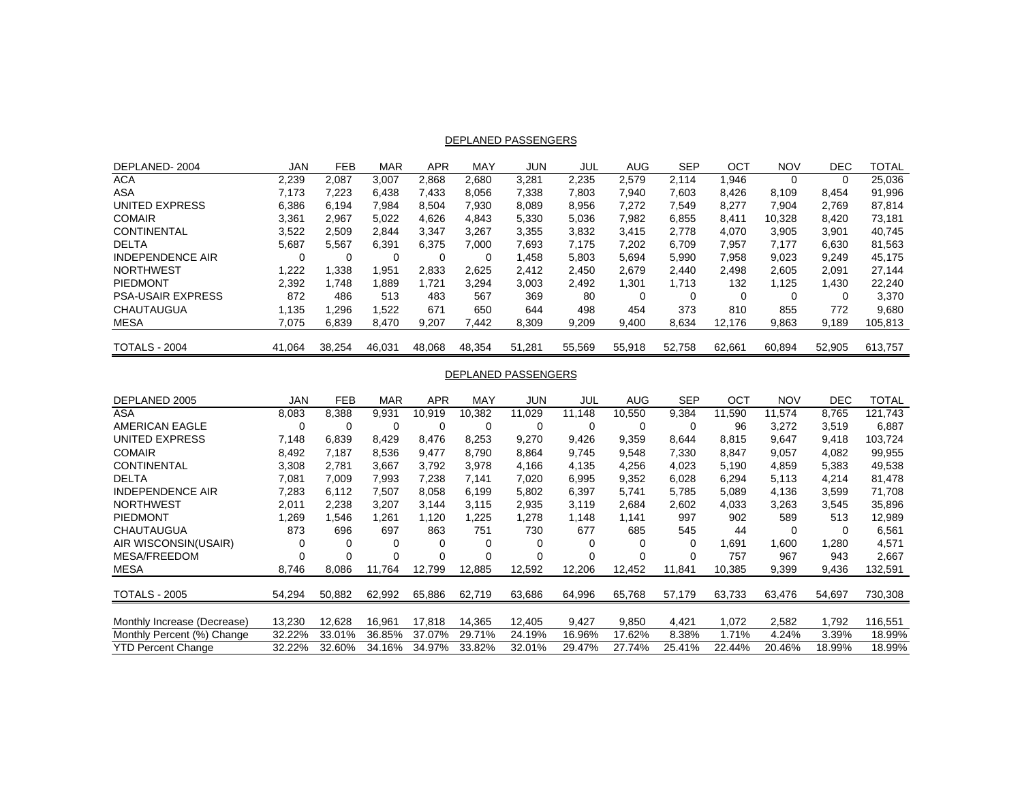#### DEPLANED PASSENGERS

| DEPLANED-2004            | JAN    | <b>FEB</b> | <b>MAR</b> | APR    | MAY    | <b>JUN</b> | JUL    | AUG    | <b>SEP</b> | OCT    | <b>NOV</b> | DEC      | TOTAL   |
|--------------------------|--------|------------|------------|--------|--------|------------|--------|--------|------------|--------|------------|----------|---------|
| ACA                      | 2,239  | 2,087      | 3,007      | 2,868  | 2,680  | 3,281      | 2,235  | 2,579  | 2.114      | 1,946  | 0          |          | 25,036  |
| ASA                      | 7.173  | 7,223      | 6,438      | 7,433  | 8,056  | 7,338      | 7,803  | 7,940  | 7,603      | 8,426  | 8.109      | 8,454    | 91,996  |
| UNITED EXPRESS           | 6,386  | 6.194      | 7.984      | 8.504  | 7.930  | 8,089      | 8,956  | 7,272  | 7,549      | 8,277  | 7,904      | 2.769    | 87,814  |
| <b>COMAIR</b>            | 3,361  | 2,967      | 5,022      | 4,626  | 4,843  | 5,330      | 5,036  | 7,982  | 6,855      | 8,411  | 10,328     | 8.420    | 73,181  |
| <b>CONTINENTAL</b>       | 3,522  | 2,509      | 2,844      | 3,347  | 3,267  | 3,355      | 3,832  | 3,415  | 2,778      | 4,070  | 3,905      | 3,901    | 40,745  |
| <b>DELTA</b>             | 5,687  | 5,567      | 6,391      | 6.375  | 7.000  | 7,693      | 7.175  | 7,202  | 6.709      | 7,957  | 7.177      | 6,630    | 81,563  |
| <b>INDEPENDENCE AIR</b>  |        | 0          | 0          |        |        | .458       | 5.803  | 5.694  | 5,990      | 7.958  | 9,023      | 9.249    | 45,175  |
| <b>NORTHWEST</b>         | 1,222  | 338. ا     | .951       | 2,833  | 2,625  | 2,412      | 2,450  | 2,679  | 2.440      | 2,498  | 2,605      | 2,091    | 27,144  |
| PIEDMONT                 | 2,392  | 1.748      | .889       | 1,721  | 3.294  | 3,003      | 2.492  | 301. ا | 1.713      | 132    | 1.125      | 1,430    | 22.240  |
| <b>PSA-USAIR EXPRESS</b> | 872    | 486        | 513        | 483    | 567    | 369        | 80     |        | 0          | 0      | 0          | $\Omega$ | 3,370   |
| CHAUTAUGUA               | 1.135  | 1.296      | .522       | 671    | 650    | 644        | 498    | 454    | 373        | 810    | 855        | 772      | 9,680   |
| MESA                     | 7,075  | 6,839      | 8,470      | 9,207  | 7.442  | 8,309      | 9,209  | 9,400  | 8,634      | 12,176 | 9,863      | 9,189    | 105,813 |
| <b>TOTALS - 2004</b>     | 41.064 | 38,254     | 46,031     | 48,068 | 48.354 | 51,281     | 55,569 | 55,918 | 52,758     | 62,661 | 60,894     | 52.905   | 613.757 |

#### DEPLANED PASSENGERS

| DEPLANED 2005               | JAN    | <b>FEB</b> | <b>MAR</b> | APR    | MAY    | JUN    | JUL      | AUG    | <b>SEP</b> | OCT    | <b>NOV</b> | DEC    | TOTAL   |
|-----------------------------|--------|------------|------------|--------|--------|--------|----------|--------|------------|--------|------------|--------|---------|
| ASA                         | 8,083  | 8,388      | 9,931      | 10.919 | 10.382 | 11.029 | 11.148   | 10.550 | 9,384      | 11.590 | 11.574     | 8.765  | 121.743 |
| <b>AMERICAN EAGLE</b>       |        | 0          | 0          |        | 0      | 0      | 0        | 0      | 0          | 96     | 3,272      | 3,519  | 6,887   |
| UNITED EXPRESS              | 7,148  | 6,839      | 8.429      | 8.476  | 8,253  | 9,270  | 9,426    | 9,359  | 8,644      | 8,815  | 9,647      | 9,418  | 103,724 |
| <b>COMAIR</b>               | 8,492  | 7.187      | 8,536      | 9.477  | 8,790  | 8,864  | 9,745    | 9,548  | 7,330      | 8,847  | 9,057      | 4,082  | 99,955  |
| CONTINENTAL                 | 3,308  | 2.781      | 3.667      | 3,792  | 3.978  | 4.166  | 4,135    | 4,256  | 4.023      | 5.190  | 4,859      | 5.383  | 49,538  |
| <b>DELTA</b>                | 7,081  | 7,009      | 7,993      | 7,238  | 7,141  | 7,020  | 6,995    | 9,352  | 6,028      | 6,294  | 5,113      | 4,214  | 81,478  |
| <b>INDEPENDENCE AIR</b>     | 7,283  | 6,112      | 7,507      | 8,058  | 6,199  | 5,802  | 6,397    | 5,741  | 5,785      | 5,089  | 4,136      | 3,599  | 71,708  |
| <b>NORTHWEST</b>            | 2,011  | 2,238      | 3,207      | 3.144  | 3,115  | 2,935  | 3,119    | 2,684  | 2,602      | 4,033  | 3,263      | 3,545  | 35,896  |
| <b>PIEDMONT</b>             | 1,269  | .546       | 1.261      | 1,120  | 1,225  | 1,278  | 1.148    | 1,141  | 997        | 902    | 589        | 513    | 12,989  |
| CHAUTAUGUA                  | 873    | 696        | 697        | 863    | 751    | 730    | 677      | 685    | 545        | 44     | $\Omega$   | 0      | 6,561   |
| AIR WISCONSIN(USAIR)        | 0      | 0          | $\Omega$   |        | 0      |        | 0        | 0      | 0          | .691   | 1.600      | 1,280  | 4,571   |
| <b>MESA/FREEDOM</b>         |        |            | $\Omega$   |        |        | O      | $\Omega$ | 0      | 0          | 757    | 967        | 943    | 2,667   |
| <b>MESA</b>                 | 8,746  | 8,086      | 11.764     | 12.799 | 12,885 | 12,592 | 12,206   | 12.452 | 11.841     | 10,385 | 9,399      | 9,436  | 132,591 |
|                             |        |            |            |        |        |        |          |        |            |        |            |        |         |
| <b>TOTALS - 2005</b>        | 54,294 | 50,882     | 62,992     | 65,886 | 62,719 | 63,686 | 64,996   | 65,768 | 57,179     | 63,733 | 63,476     | 54,697 | 730,308 |
|                             |        |            |            |        |        |        |          |        |            |        |            |        |         |
| Monthly Increase (Decrease) | 13,230 | 12.628     | 16.961     | 17.818 | 14.365 | 12.405 | 9,427    | 9,850  | 4.421      | 1.072  | 2,582      | 1.792  | 116,551 |
| Monthly Percent (%) Change  | 32.22% | 33.01%     | 36.85%     | 37.07% | 29.71% | 24.19% | 16.96%   | 17.62% | 8.38%      | 1.71%  | 4.24%      | 3.39%  | 18.99%  |
| <b>YTD Percent Change</b>   | 32.22% | 32.60%     | 34.16%     | 34.97% | 33.82% | 32.01% | 29.47%   | 27.74% | 25.41%     | 22.44% | 20.46%     | 18.99% | 18.99%  |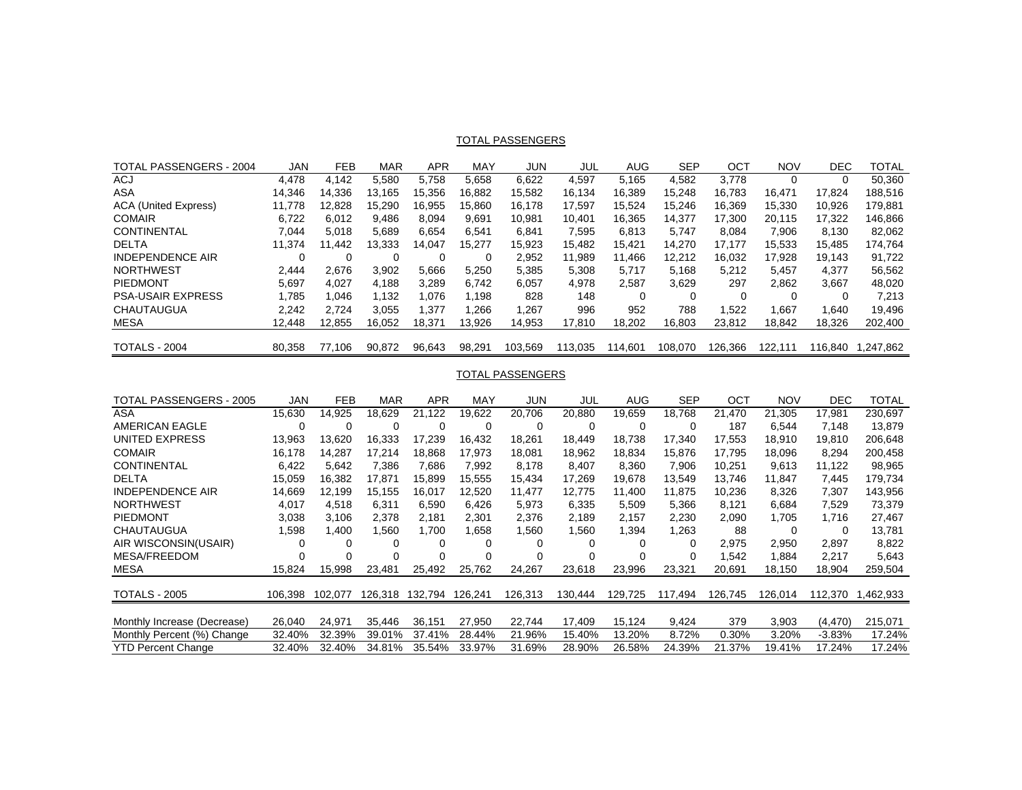#### <u>TOTAL PASSENGERS</u>

| TOTAL PASSENGERS - 2004     | JAN    | <b>FEB</b> | <b>MAR</b> | APR    | MAY    | JUN     | JUL     | AUG     | <b>SEP</b> | OCT      | <b>NOV</b> | DEC      | TOTAL    |
|-----------------------------|--------|------------|------------|--------|--------|---------|---------|---------|------------|----------|------------|----------|----------|
| ACJ                         | 4.478  | 4.142      | 5.580      | 5.758  | 5.658  | 6,622   | 4.597   | 5.165   | 4.582      | 3.778    |            |          | 50,360   |
| ASA                         | 14.346 | 14.336     | 13.165     | 15.356 | 16.882 | 15,582  | 16.134  | 16.389  | 15.248     | 16.783   | 16,471     | 17.824   | 188,516  |
| <b>ACA (United Express)</b> | 11.778 | 12.828     | 15.290     | 16.955 | 15.860 | 16,178  | 17.597  | 15.524  | 15.246     | 16.369   | 15,330     | 10.926   | 179,881  |
| <b>COMAIR</b>               | 6,722  | 6.012      | 9.486      | 8.094  | 9.691  | 10.981  | 10.401  | 16,365  | 14.377     | 17,300   | 20.115     | 17.322   | 146,866  |
| <b>CONTINENTAL</b>          | 7,044  | 5,018      | 5.689      | 6.654  | 6.541  | 6,841   | 7.595   | 6,813   | 5.747      | 8.084    | 7,906      | 8.130    | 82,062   |
| <b>DELTA</b>                | 11.374 | 11.442     | 13.333     | 14.047 | 15.277 | 15,923  | 15.482  | 15.421  | 14.270     | 17.177   | 15,533     | 15.485   | 174,764  |
| <b>INDEPENDENCE AIR</b>     |        | 0          | 0          |        |        | 2.952   | 11.989  | 11.466  | 12.212     | 16.032   | 17.928     | 19.143   | 91,722   |
| <b>NORTHWEST</b>            | 2.444  | 2.676      | 3.902      | 5.666  | 5,250  | 5,385   | 5,308   | 5,717   | 5,168      | 5,212    | 5,457      | 4,377    | 56,562   |
| PIEDMONT                    | 5.697  | 4.027      | 4.188      | 3,289  | 6.742  | 6,057   | 4.978   | 2,587   | 3.629      | 297      | 2.862      | 3,667    | 48,020   |
| <b>PSA-USAIR EXPRESS</b>    | 1.785  | 1.046      | 1.132      | 1.076  | 1.198  | 828     | 148     |         | 0          | $\Omega$ | 0          | $\Omega$ | 7,213    |
| CHAUTAUGUA                  | 2.242  | 2.724      | 3.055      | 1.377  | .266   | .267    | 996     | 952     | 788        | 1.522    | 1.667      | 1.640    | 19.496   |
| <b>MESA</b>                 | 12.448 | 12.855     | 16.052     | 18.371 | 13.926 | 14.953  | 17.810  | 18,202  | 16.803     | 23.812   | 18,842     | 18,326   | 202,400  |
| TOTALS - 2004               | 80.358 | 77.106     | 90,872     | 96,643 | 98.291 | 103,569 | 113.035 | 114,601 | 108,070    | 126.366  | 122.111    | 116.840  | .247.862 |

### TOTAL PASSENGERS

| TOTAL PASSENGERS - 2005     | <b>JAN</b> | <b>FEB</b> | <b>MAR</b> | APR     | MAY     | <b>JUN</b> | JUL      | AUG     | <b>SEP</b> | ОСТ     | <b>NOV</b> | <b>DEC</b> | TOTAL     |
|-----------------------------|------------|------------|------------|---------|---------|------------|----------|---------|------------|---------|------------|------------|-----------|
| ASA                         | 15,630     | 14,925     | 18,629     | 21,122  | 19,622  | 20,706     | 20,880   | 19,659  | 18,768     | 21,470  | 21,305     | 17,981     | 230,697   |
| <b>AMERICAN EAGLE</b>       |            | 0          | 0          |         | 0       |            | $\Omega$ | 0       | 0          | 187     | 6,544      | 7,148      | 13,879    |
| UNITED EXPRESS              | 13.963     | 13,620     | 16,333     | 17.239  | 16,432  | 18,261     | 18.449   | 18.738  | 17.340     | 17,553  | 18,910     | 19,810     | 206,648   |
| <b>COMAIR</b>               | 16.178     | 14,287     | 17.214     | 18.868  | 17.973  | 18,081     | 18,962   | 18,834  | 15,876     | 17.795  | 18,096     | 8,294      | 200,458   |
| <b>CONTINENTAL</b>          | 6,422      | 5,642      | 7.386      | 7.686   | 7.992   | 8,178      | 8.407    | 8,360   | 7,906      | 10.251  | 9,613      | 11.122     | 98,965    |
| <b>DELTA</b>                | 15.059     | 16.382     | 17,871     | 15.899  | 15.555  | 15,434     | 17.269   | 19.678  | 13,549     | 13.746  | 11.847     | 7,445      | 179,734   |
| <b>INDEPENDENCE AIR</b>     | 14,669     | 12.199     | 15.155     | 16.017  | 12,520  | 11,477     | 12.775   | 11,400  | 11,875     | 10.236  | 8,326      | 7,307      | 143,956   |
| <b>NORTHWEST</b>            | 4,017      | 4,518      | 6,311      | 6,590   | 6,426   | 5,973      | 6,335    | 5,509   | 5,366      | 8,121   | 6,684      | 7,529      | 73,379    |
| <b>PIEDMONT</b>             | 3,038      | 3,106      | 2,378      | 2,181   | 2,301   | 2,376      | 2,189    | 2,157   | 2,230      | 2,090   | 1.705      | 1.716      | 27,467    |
| <b>CHAUTAUGUA</b>           | 1,598      | 400. ا     | 560, ا     | 1,700   | 1,658   | 1,560      | 1,560    | 394. ا  | 1,263      | 88      | $\Omega$   | $\Omega$   | 13,781    |
| AIR WISCONSIN(USAIR)        | 0          |            | 0          |         | 0       |            | $\Omega$ | 0       | 0          | 2.975   | 2,950      | 2.897      | 8,822     |
| <b>MESA/FREEDOM</b>         |            |            | 0          |         |         |            |          | 0       | 0          | 1.542   | 1.884      | 2.217      | 5,643     |
| <b>MESA</b>                 | 15.824     | 15.998     | 23.481     | 25.492  | 25,762  | 24,267     | 23,618   | 23.996  | 23,321     | 20.691  | 18.150     | 18,904     | 259,504   |
|                             |            |            |            |         |         |            |          |         |            |         |            |            |           |
| <b>TOTALS - 2005</b>        | 106.398    | 102.077    | 126.318    | 132.794 | 126,241 | 126,313    | 130.444  | 129,725 | 117,494    | 126.745 | 126.014    | 112.370    | 1,462,933 |
|                             |            |            |            |         |         |            |          |         |            |         |            |            |           |
| Monthly Increase (Decrease) | 26,040     | 24,971     | 35.446     | 36.151  | 27,950  | 22,744     | 17.409   | 15.124  | 9,424      | 379     | 3,903      | (4, 470)   | 215,071   |
| Monthly Percent (%) Change  | 32.40%     | 32.39%     | 39.01%     | 37.41%  | 28.44%  | 21.96%     | 15.40%   | 13.20%  | 8.72%      | 0.30%   | 3.20%      | $-3.83%$   | 17.24%    |
| <b>YTD Percent Change</b>   | 32.40%     | 32.40%     | 34.81%     | 35.54%  | 33.97%  | 31.69%     | 28.90%   | 26.58%  | 24.39%     | 21.37%  | 19.41%     | 17.24%     | 17.24%    |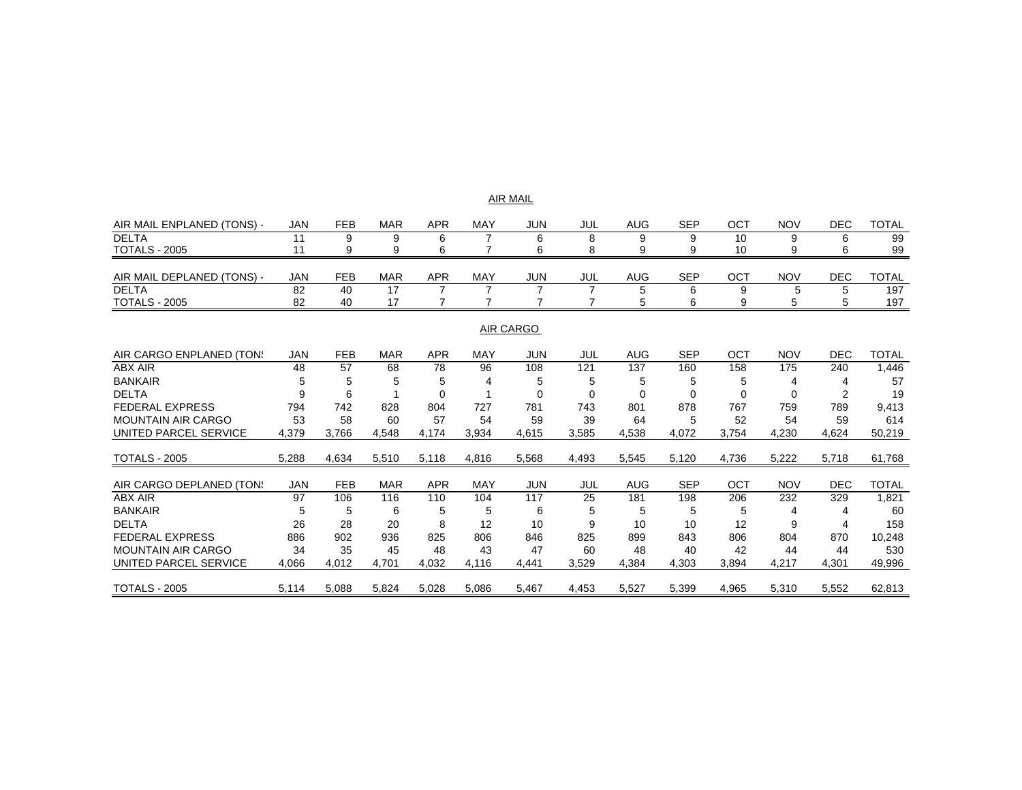| AIR MAIL |
|----------|
|----------|

| AIR MAIL ENPLANED (TONS) - | JAN | FEB | <b>MAR</b> | APR        | MAY        | JUN | JUL | AUG | SEP | OCT | <b>NOV</b> | DEC | TOTAL |
|----------------------------|-----|-----|------------|------------|------------|-----|-----|-----|-----|-----|------------|-----|-------|
| <b>DELTA</b>               |     |     |            |            |            |     |     |     |     | 10  |            |     | 99    |
| <b>TOTALS - 2005</b>       |     |     |            |            |            |     |     |     |     | 10  |            |     | 99    |
|                            |     |     |            |            |            |     |     |     |     |     |            |     |       |
| AIR MAIL DEPLANED (TONS) - | JAN | FEB | <b>MAR</b> | <b>APR</b> | <b>MAY</b> | JUN | JUL | AUG | SEP | ост | <b>NOV</b> | DEC | TOTAL |
| <b>DELTA</b>               | 82  | 40  | 17         |            |            |     |     |     |     |     |            |     | 197   |
| <b>TOTALS - 2005</b>       | 82  | 40  | 17         |            |            |     |     |     |     |     |            |     | 197   |
|                            |     |     |            |            |            |     |     |     |     |     |            |     |       |

#### AIR CARGO

| AIR CARGO ENPLANED (TON:  | JAN        | <b>FEB</b> | <b>MAR</b> | APR        | MAY        | JUN        | JUL   | <b>AUG</b> | <b>SEP</b> | ОСТ   | <b>NOV</b> | <b>DEC</b> | TOTAL        |
|---------------------------|------------|------------|------------|------------|------------|------------|-------|------------|------------|-------|------------|------------|--------------|
| ABX AIR                   | 48         | 57         | 68         | 78         | 96         | 108        | 121   | 137        | 160        | 158   | 175        | 240        | ,446         |
| <b>BANKAIR</b>            | 5          | 5          | 5          | 5          | 4          | 5          | 5     | 5          | 5          | 5     |            |            | 57           |
| <b>DELTA</b>              |            | 6          |            |            |            |            |       | 0          |            |       |            |            | 19           |
| <b>FEDERAL EXPRESS</b>    | 794        | 742        | 828        | 804        | 727        | 781        | 743   | 801        | 878        | 767   | 759        | 789        | 9,413        |
| <b>MOUNTAIN AIR CARGO</b> | 53         | 58         | 60         | 57         | 54         | 59         | 39    | 64         | 5          | 52    | 54         | 59         | 614          |
| UNITED PARCEL SERVICE     | 4,379      | 3.766      | 4,548      | 4.174      | 3,934      | 4,615      | 3,585 | 4,538      | 4,072      | 3.754 | 4,230      | 4,624      | 50,219       |
| <b>TOTALS - 2005</b>      | 5,288      | 4,634      | 5,510      | 5,118      | 4,816      | 5,568      | 4,493 | 5,545      | 5,120      | 4,736 | 5,222      | 5,718      | 61,768       |
| AIR CARGO DEPLANED (TON:  | <b>JAN</b> | <b>FEB</b> | <b>MAR</b> | <b>APR</b> | <b>MAY</b> | <b>JUN</b> | JUL   | <b>AUG</b> | <b>SEP</b> | OCT   | <b>NOV</b> | <b>DEC</b> | <b>TOTAL</b> |
| <b>ABX AIR</b>            | 97         | 106        | 116        | 110        | 104        | 117        | 25    | 181        | 198        | 206   | 232        | 329        | 1,821        |
| <b>BANKAIR</b>            |            | 5          | 6          | 5          | 5          | 6          | 5     | 5          | 5          |       |            |            | 60           |
| <b>DELTA</b>              | 26         | 28         | 20         | 8          | 12         | 10         | 9     | 10         | 10         | 12    | 9          |            | 158          |
| <b>FEDERAL EXPRESS</b>    | 886        | 902        | 936        | 825        | 806        | 846        | 825   | 899        | 843        | 806   | 804        | 870        | 10,248       |
| <b>MOUNTAIN AIR CARGO</b> | 34         | 35         | 45         | 48         | 43         | 47         | 60    | 48         | 40         | 42    | 44         | 44         | 530          |
| UNITED PARCEL SERVICE     | 4,066      | 4,012      | 4,701      | 4,032      | 4,116      | 4,441      | 3,529 | 4,384      | 4,303      | 3,894 | 4,217      | 4,301      | 49,996       |
| <b>TOTALS - 2005</b>      | 5,114      | 5,088      | 5,824      | 5,028      | 5,086      | 5,467      | 4,453 | 5,527      | 5,399      | 4,965 | 5,310      | 5,552      | 62,813       |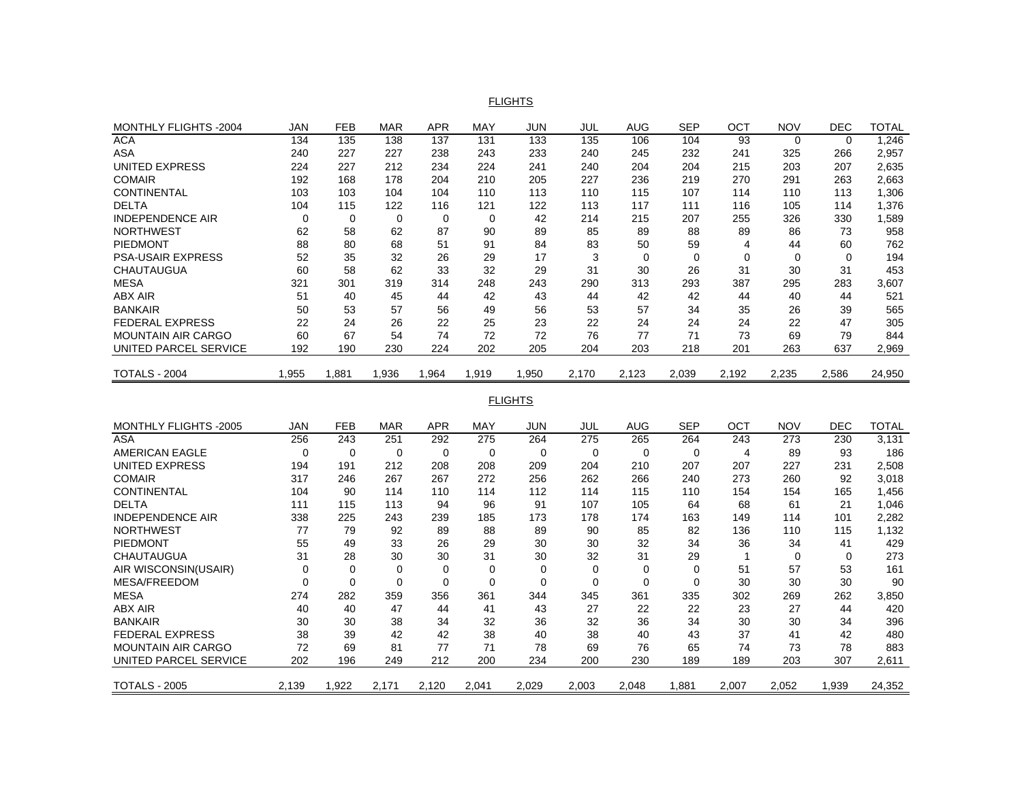#### FLIGHTS

| JAN   | <b>FEB</b> | <b>MAR</b> | <b>APR</b> | <b>MAY</b> | <b>JUN</b> | JUL   | <b>AUG</b> | <b>SEP</b> | OCT   | <b>NOV</b>   | <b>DEC</b> | TOTAL  |
|-------|------------|------------|------------|------------|------------|-------|------------|------------|-------|--------------|------------|--------|
| 134   | 135        | 138        | 137        | 131        | 133        | 135   | 106        | 104        | 93    | $\Omega$     | $\Omega$   | 1,246  |
| 240   | 227        | 227        | 238        | 243        | 233        | 240   | 245        | 232        | 241   | 325          | 266        | 2,957  |
| 224   | 227        | 212        | 234        | 224        | 241        | 240   | 204        | 204        | 215   | 203          | 207        | 2,635  |
| 192   | 168        | 178        | 204        | 210        | 205        | 227   | 236        | 219        | 270   | 291          | 263        | 2,663  |
| 103   | 103        | 104        | 104        | 110        | 113        | 110   | 115        | 107        | 114   | 110          | 113        | 1,306  |
| 104   | 115        | 122        | 116        | 121        | 122        | 113   | 117        | 111        | 116   | 105          | 114        | 1,376  |
| 0     | 0          | 0          | 0          | 0          | 42         | 214   | 215        | 207        | 255   | 326          | 330        | 589. ا |
| 62    | 58         | 62         | 87         | 90         | 89         | 85    | 89         | 88         | 89    | 86           | 73         | 958    |
| 88    | 80         | 68         | 51         | 91         | 84         | 83    | 50         | 59         | 4     | 44           | 60         | 762    |
| 52    | 35         | 32         | 26         | 29         | 17         | 3     | $\Omega$   | 0          | 0     | <sup>0</sup> | $\Omega$   | 194    |
| 60    | 58         | 62         | 33         | 32         | 29         | 31    | 30         | 26         | 31    | 30           | 31         | 453    |
| 321   | 301        | 319        | 314        | 248        | 243        | 290   | 313        | 293        | 387   | 295          | 283        | 3,607  |
| 51    | 40         | 45         | 44         | 42         | 43         | 44    | 42         | 42         | 44    | 40           | 44         | 521    |
| 50    | 53         |            | 56         | 49         | 56         | 53    | 57         | 34         | 35    | 26           | 39         | 565    |
| 22    | 24         | 26         | 22         | 25         | 23         | 22    | 24         | 24         | 24    | 22           | 47         | 305    |
| 60    | 67         | 54         | 74         | 72         | 72         | 76    | 77         | 71         | 73    | 69           | 79         | 844    |
| 192   | 190        | 230        | 224        | 202        | 205        | 204   | 203        | 218        | 201   | 263          | 637        | 2,969  |
| 1,955 | 1,881      | 1,936      | 1,964      | 1.919      | 1,950      | 2,170 | 2,123      | 2,039      | 2,192 | 2,235        | 2,586      | 24,950 |
|       |            |            | 57         |            |            |       |            |            |       |              |            |        |

FLIGHTS

| <b>MONTHLY FLIGHTS -2005</b> | JAN   | <b>FEB</b> | <b>MAR</b> | APR   | <b>MAY</b> | <b>JUN</b> | JUL   | <b>AUG</b> | <b>SEP</b> | OCT   | <b>NOV</b> | <b>DEC</b> | <b>TOTAL</b> |
|------------------------------|-------|------------|------------|-------|------------|------------|-------|------------|------------|-------|------------|------------|--------------|
| ASA                          | 256   | 243        | 251        | 292   | 275        | 264        | 275   | 265        | 264        | 243   | 273        | 230        | 3,131        |
| <b>AMERICAN EAGLE</b>        | 0     | 0          | 0          | 0     | 0          | 0          | 0     | $\Omega$   | 0          | 4     | 89         | 93         | 186          |
| UNITED EXPRESS               | 194   | 191        | 212        | 208   | 208        | 209        | 204   | 210        | 207        | 207   | 227        | 231        | 2,508        |
| <b>COMAIR</b>                | 317   | 246        | 267        | 267   | 272        | 256        | 262   | 266        | 240        | 273   | 260        | 92         | 3,018        |
| <b>CONTINENTAL</b>           | 104   | 90         | 114        | 110   | 114        | 112        | 114   | 115        | 110        | 154   | 154        | 165        | 1,456        |
| <b>DELTA</b>                 | 111   | 115        | 113        | 94    | 96         | 91         | 107   | 105        | 64         | 68    | 61         | 21         | 1,046        |
| <b>INDEPENDENCE AIR</b>      | 338   | 225        | 243        | 239   | 185        | 173        | 178   | 174        | 163        | 149   | 114        | 101        | 2,282        |
| <b>NORTHWEST</b>             | 77    | 79         | 92         | 89    | 88         | 89         | 90    | 85         | 82         | 136   | 110        | 115        | 1,132        |
| <b>PIEDMONT</b>              | 55    | 49         | 33         | 26    | 29         | 30         | 30    | 32         | 34         | 36    | 34         | 41         | 429          |
| <b>CHAUTAUGUA</b>            | 31    | 28         | 30         | 30    | 31         | 30         | 32    | 31         | 29         |       |            | $\Omega$   | 273          |
| AIR WISCONSIN(USAIR)         | 0     | 0          | 0          |       |            | 0          | 0     | $\Omega$   | 0          | 51    | 57         | 53         | 161          |
| <b>MESA/FREEDOM</b>          | 0     | 0          | $\Omega$   | 0     | 0          | 0          | 0     | $\Omega$   | $\Omega$   | 30    | 30         | 30         | 90           |
| <b>MESA</b>                  | 274   | 282        | 359        | 356   | 361        | 344        | 345   | 361        | 335        | 302   | 269        | 262        | 3,850        |
| <b>ABX AIR</b>               | 40    | 40         | 47         | 44    | 41         | 43         | 27    | 22         | 22         | 23    | 27         | 44         | 420          |
| <b>BANKAIR</b>               | 30    | 30         | 38         | 34    | 32         | 36         | 32    | 36         | 34         | 30    | 30         | 34         | 396          |
| <b>FEDERAL EXPRESS</b>       | 38    | 39         | 42         | 42    | 38         | 40         | 38    | 40         | 43         | 37    | 41         | 42         | 480          |
| <b>MOUNTAIN AIR CARGO</b>    | 72    | 69         | 81         | 77    | 71         | 78         | 69    | 76         | 65         | 74    | 73         | 78         | 883          |
| UNITED PARCEL SERVICE        | 202   | 196        | 249        | 212   | 200        | 234        | 200   | 230        | 189        | 189   | 203        | 307        | 2,611        |
| <b>TOTALS - 2005</b>         | 2,139 | 1,922      | 2,171      | 2,120 | 2,041      | 2,029      | 2,003 | 2,048      | .881       | 2,007 | 2,052      | 1,939      | 24,352       |